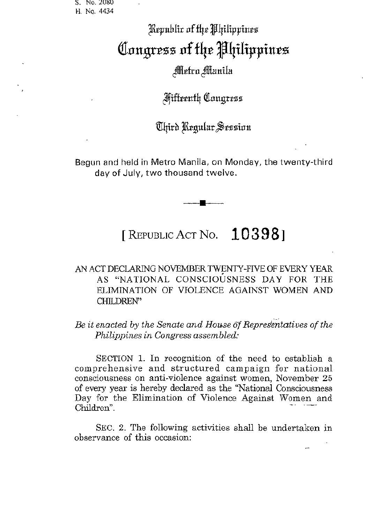S. No. 2080 H. No. 4434

# Republix of the Philippines Congress of the Philippines Metro Manila

# Mifteenth Caugress

### Uhird Regular Session

Begun and held in Metro Manila, on Monday, the twenty-third day of July, two thousand twelve.

## [REPUBLIC ACT No.  $10398$ ]

### AN ACT DECLARING NOVEMBER TWENTY-FIVE OF EVERY YEAR AS "NATIONAL CONSCIOUSNESS DAY FOR THE ELIMINATION OF VIOLENCE AGAINST WOMEN AND CHILDREN"

#### Be it enacted by the Senate and House of Representatives of the Philippines in Congress assembled:

SECTION 1. In recognition of the need to establish a comprehensive and structured campaign for national consciousness on anti-violence against women, November 25 of every year is hereby declared as the "National Consciousness Day for the Elimination of Violence Against Women and Children".

SEC. 2. The following activities shall be undertaken in observance of this occasion: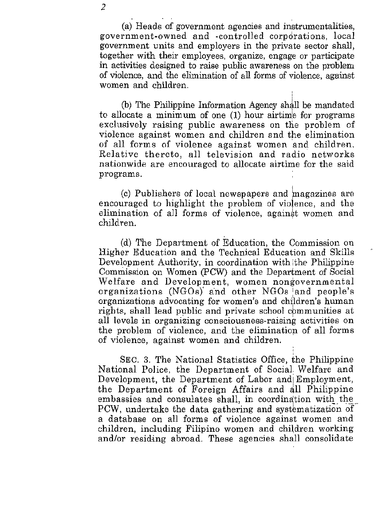2

(a) Heads of government agencies and instrumentalities, government-owned and -controlled corporations, local government units and employers in the private sector shall, together with their employees, organize, engage or participate in activities designed to raise public awareness on the problem of violence, and the elimination of all forms of violence, against women and children.

(b) The Philippine Information Agency shall be mandated to allocate a minimum of one (1) hour airtim'e for programs exclusively raising public awareness on the problem of violence against women and children and the elimination of all forms of violence against women and children. Relative thereto, all television and radio networks nationwide are encouraged to allocate airtime for the said **programs.** 

(c) Publishers of local newspapers and \nagazines are encouraged to highlight the problem of violence, and the elimination of all forms of violence, against women and children. .

(d) The Department of Education, the Commission on Higher Education and the Technical Education and Skills Development Authority, in coordination with the Philippine Commission on Women (pCW) and the Department of Social Welfare and Development, women nongovernmental organizations (NGOs)' and other NGOs 'and people's organizations advocating for women's and children's human rights, shall lead public and private school communities at **all levels in organizing** consciou8ne88~raising **activities on**  the problem of violence, and the elimination of all forms of violence, against women and children.

SEC. 3. The National Statistics Office, the Philippine National Police, the Department of Social Welfare and Development, the Department of Labor and Employment, the Department of Foreign Affairs and all Philippine embassies and consulates shall, in coordination with the PCW, undertake the data gathering and systematization of a database on all forms of violence against women and children, including Filipino women and children working andlor residing abroad. These agencies shall consolidate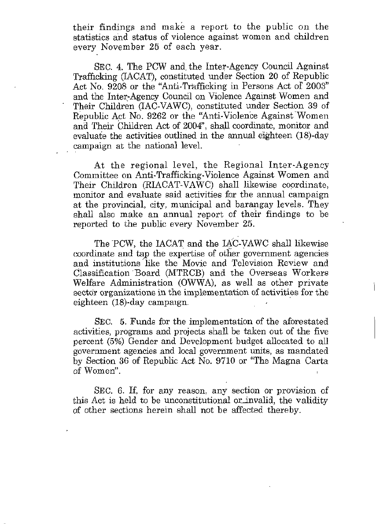their findings and make a report to the public on the statistics and status of violence against women and children every November 25 of each year.

SEC. 4. The PCW and, the Inter-Agency Council Against Trafficking (IACAT), constituted under Section 20 of Republic Act No. 9208 or the "Anti-Trafficking in Persons Act of 2003" and the Inter-Agency Council on Violence Against Women and Their Children (IAC-VAWC), constituted under Section 39 of Republic Act No. 9262 or the "Anti-Violen'ce Against'Women and Their Children Act of 2004", shall coordinate, monitor and evaluate the activities outlined in the annual eighteen (18)-day campaign at the national level.

At the regional level, the Regional Inter-Agency Committee on Anti-Trafficking-Violence Against Women and Their Children (RIACAT-VAWC) shall likewise coprdinate, monitor and evaluate said activities for the annual campaign at the provincial, city, municipal and barangay levels. They shall also make an annual report of their findings to be reported to the public every November 25.

The PCW, the IACAT and the IAC-VAWC shall likewise coordinate and tap the expertise of other government agencies and institutions like the Movie and Television Review and Classification 'Board (MTRCB) and the Overseas Workers Welfare Administration (OWWA), as well as other private sector organizations in the implementation of activities for the eighteen  $(18)$ -day campaign.

SEC. 5. Funds for the implementation of the aforestated activities, programs and projects shall be taken out of the five percent (5%) Gender and Development budget allocated to all government agencies and local government units, as mandated by Section 36 of Republic Act No. 9710 or "The Magna Carta **of Women".** 

SEC. 6. If, for any reason, any section or provision of this Act is held to be unconstitutional or invalid, the validity of other sections herein shall not be affected thereby.